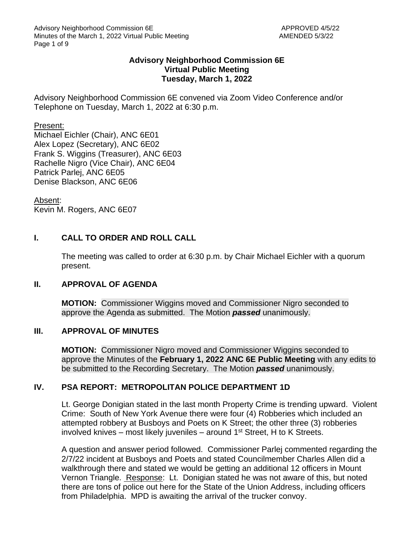### **Advisory Neighborhood Commission 6E Virtual Public Meeting Tuesday, March 1, 2022**

Advisory Neighborhood Commission 6E convened via Zoom Video Conference and/or Telephone on Tuesday, March 1, 2022 at 6:30 p.m.

#### Present:

Michael Eichler (Chair), ANC 6E01 Alex Lopez (Secretary), ANC 6E02 Frank S. Wiggins (Treasurer), ANC 6E03 Rachelle Nigro (Vice Chair), ANC 6E04 Patrick Parlej, ANC 6E05 Denise Blackson, ANC 6E06

Absent:

Kevin M. Rogers, ANC 6E07

# **I. CALL TO ORDER AND ROLL CALL**

The meeting was called to order at 6:30 p.m. by Chair Michael Eichler with a quorum present.

#### **II. APPROVAL OF AGENDA**

**MOTION:** Commissioner Wiggins moved and Commissioner Nigro seconded to approve the Agenda as submitted. The Motion *passed* unanimously.

#### **III. APPROVAL OF MINUTES**

**MOTION:** Commissioner Nigro moved and Commissioner Wiggins seconded to approve the Minutes of the **February 1, 2022 ANC 6E Public Meeting** with any edits to be submitted to the Recording Secretary. The Motion *passed* unanimously.

#### **IV. PSA REPORT: METROPOLITAN POLICE DEPARTMENT 1D**

Lt. George Donigian stated in the last month Property Crime is trending upward. Violent Crime: South of New York Avenue there were four (4) Robberies which included an attempted robbery at Busboys and Poets on K Street; the other three (3) robberies involved knives – most likely juveniles – around  $1<sup>st</sup>$  Street, H to K Streets.

A question and answer period followed. Commissioner Parlej commented regarding the 2/7/22 incident at Busboys and Poets and stated Councilmember Charles Allen did a walkthrough there and stated we would be getting an additional 12 officers in Mount Vernon Triangle. Response: Lt. Donigian stated he was not aware of this, but noted there are tons of police out here for the State of the Union Address, including officers from Philadelphia. MPD is awaiting the arrival of the trucker convoy.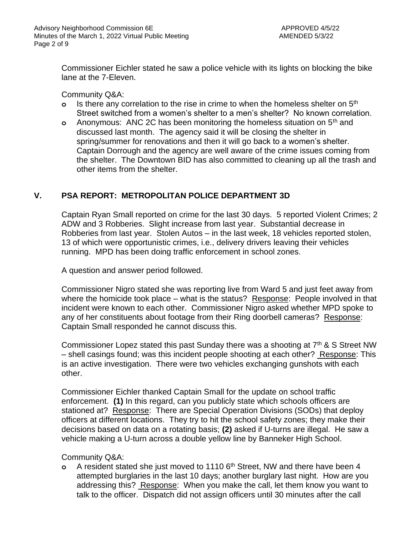Commissioner Eichler stated he saw a police vehicle with its lights on blocking the bike lane at the 7-Eleven.

Community Q&A:

- **o** Is there any correlation to the rise in crime to when the homeless shelter on 5th Street switched from a women's shelter to a men's shelter? No known correlation.
- **o** Anonymous: ANC 2C has been monitoring the homeless situation on 5th and discussed last month. The agency said it will be closing the shelter in spring/summer for renovations and then it will go back to a women's shelter. Captain Dorrough and the agency are well aware of the crime issues coming from the shelter. The Downtown BID has also committed to cleaning up all the trash and other items from the shelter.

## **V. PSA REPORT: METROPOLITAN POLICE DEPARTMENT 3D**

Captain Ryan Small reported on crime for the last 30 days. 5 reported Violent Crimes; 2 ADW and 3 Robberies. Slight increase from last year. Substantial decrease in Robberies from last year. Stolen Autos – in the last week, 18 vehicles reported stolen, 13 of which were opportunistic crimes, i.e., delivery drivers leaving their vehicles running. MPD has been doing traffic enforcement in school zones.

A question and answer period followed.

Commissioner Nigro stated she was reporting live from Ward 5 and just feet away from where the homicide took place – what is the status? Response: People involved in that incident were known to each other. Commissioner Nigro asked whether MPD spoke to any of her constituents about footage from their Ring doorbell cameras? Response: Captain Small responded he cannot discuss this.

Commissioner Lopez stated this past Sunday there was a shooting at  $7<sup>th</sup>$  & S Street NW – shell casings found; was this incident people shooting at each other? Response: This is an active investigation. There were two vehicles exchanging gunshots with each other.

Commissioner Eichler thanked Captain Small for the update on school traffic enforcement. **(1)** In this regard, can you publicly state which schools officers are stationed at? Response: There are Special Operation Divisions (SODs) that deploy officers at different locations. They try to hit the school safety zones; they make their decisions based on data on a rotating basis; **(2)** asked if U-turns are illegal. He saw a vehicle making a U-turn across a double yellow line by Banneker High School.

Community Q&A:

**o** A resident stated she just moved to 1110 6<sup>th</sup> Street, NW and there have been 4 attempted burglaries in the last 10 days; another burglary last night. How are you addressing this? Response: When you make the call, let them know you want to talk to the officer. Dispatch did not assign officers until 30 minutes after the call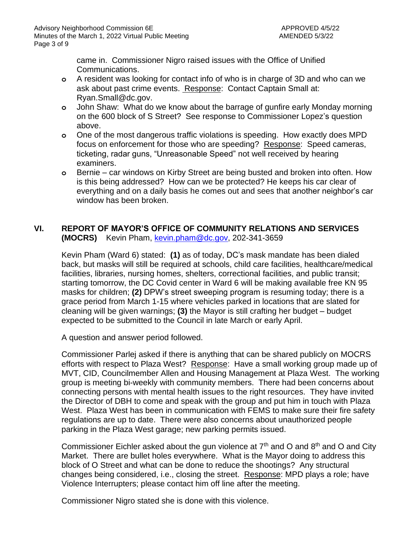came in. Commissioner Nigro raised issues with the Office of Unified Communications.

- **o** A resident was looking for contact info of who is in charge of 3D and who can we ask about past crime events. Response: Contact Captain Small at: Ryan.Small@dc.gov.
- **o** John Shaw: What do we know about the barrage of gunfire early Monday morning on the 600 block of S Street? See response to Commissioner Lopez's question above.
- **o** One of the most dangerous traffic violations is speeding. How exactly does MPD focus on enforcement for those who are speeding? Response: Speed cameras, ticketing, radar guns, "Unreasonable Speed" not well received by hearing examiners.
- **o** Bernie car windows on Kirby Street are being busted and broken into often. How is this being addressed? How can we be protected? He keeps his car clear of everything and on a daily basis he comes out and sees that another neighbor's car window has been broken.

## **VI. REPORT OF MAYOR'S OFFICE OF COMMUNITY RELATIONS AND SERVICES (MOCRS)** Kevin Pham, [kevin.pham@dc.gov,](mailto:kevin.pham@dc.gov) 202-341-3659

Kevin Pham (Ward 6) stated: **(1)** as of today, DC's mask mandate has been dialed back, but masks will still be required at schools, child care facilities, healthcare/medical facilities, libraries, nursing homes, shelters, correctional facilities, and public transit; starting tomorrow, the DC Covid center in Ward 6 will be making available free KN 95 masks for children; **(2)** DPW's street sweeping program is resuming today; there is a grace period from March 1-15 where vehicles parked in locations that are slated for cleaning will be given warnings; **(3)** the Mayor is still crafting her budget – budget expected to be submitted to the Council in late March or early April.

A question and answer period followed.

Commissioner Parlej asked if there is anything that can be shared publicly on MOCRS efforts with respect to Plaza West? Response: Have a small working group made up of MVT, CID, Councilmember Allen and Housing Management at Plaza West. The working group is meeting bi-weekly with community members. There had been concerns about connecting persons with mental health issues to the right resources. They have invited the Director of DBH to come and speak with the group and put him in touch with Plaza West. Plaza West has been in communication with FEMS to make sure their fire safety regulations are up to date. There were also concerns about unauthorized people parking in the Plaza West garage; new parking permits issued.

Commissioner Eichler asked about the gun violence at  $7<sup>th</sup>$  and O and  $8<sup>th</sup>$  and O and City Market. There are bullet holes everywhere. What is the Mayor doing to address this block of O Street and what can be done to reduce the shootings? Any structural changes being considered, i.e., closing the street. Response: MPD plays a role; have Violence Interrupters; please contact him off line after the meeting.

Commissioner Nigro stated she is done with this violence.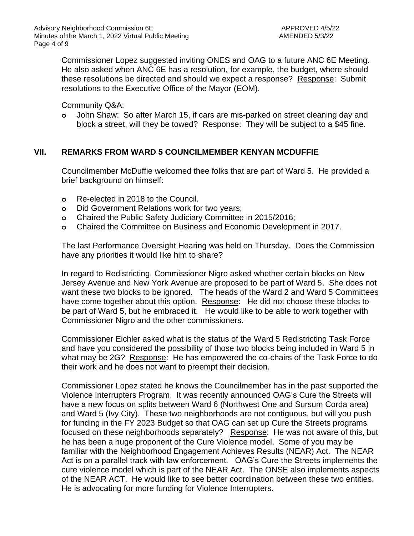Commissioner Lopez suggested inviting ONES and OAG to a future ANC 6E Meeting. He also asked when ANC 6E has a resolution, for example, the budget, where should these resolutions be directed and should we expect a response? Response: Submit resolutions to the Executive Office of the Mayor (EOM).

Community Q&A:

**o** John Shaw: So after March 15, if cars are mis-parked on street cleaning day and block a street, will they be towed? Response: They will be subject to a \$45 fine.

## **VII. REMARKS FROM WARD 5 COUNCILMEMBER KENYAN MCDUFFIE**

Councilmember McDuffie welcomed thee folks that are part of Ward 5. He provided a brief background on himself:

- **o** Re-elected in 2018 to the Council.
- **o** Did Government Relations work for two years;
- **o** Chaired the Public Safety Judiciary Committee in 2015/2016;
- **o** Chaired the Committee on Business and Economic Development in 2017.

The last Performance Oversight Hearing was held on Thursday. Does the Commission have any priorities it would like him to share?

In regard to Redistricting, Commissioner Nigro asked whether certain blocks on New Jersey Avenue and New York Avenue are proposed to be part of Ward 5. She does not want these two blocks to be ignored. The heads of the Ward 2 and Ward 5 Committees have come together about this option. Response: He did not choose these blocks to be part of Ward 5, but he embraced it. He would like to be able to work together with Commissioner Nigro and the other commissioners.

Commissioner Eichler asked what is the status of the Ward 5 Redistricting Task Force and have you considered the possibility of those two blocks being included in Ward 5 in what may be 2G? Response: He has empowered the co-chairs of the Task Force to do their work and he does not want to preempt their decision.

Commissioner Lopez stated he knows the Councilmember has in the past supported the Violence Interrupters Program. It was recently announced OAG's Cure the Streets will have a new focus on splits between Ward 6 (Northwest One and Sursum Corda area) and Ward 5 (Ivy City). These two neighborhoods are not contiguous, but will you push for funding in the FY 2023 Budget so that OAG can set up Cure the Streets programs focused on these neighborhoods separately? Response: He was not aware of this, but he has been a huge proponent of the Cure Violence model. Some of you may be familiar with the Neighborhood Engagement Achieves Results (NEAR) Act. The NEAR Act is on a parallel track with law enforcement. OAG's Cure the Streets implements the cure violence model which is part of the NEAR Act. The ONSE also implements aspects of the NEAR ACT. He would like to see better coordination between these two entities. He is advocating for more funding for Violence Interrupters.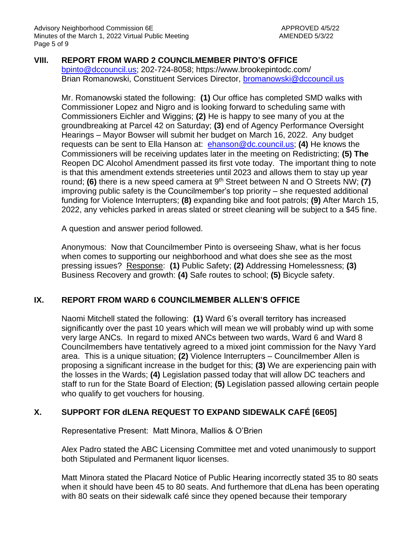### **VIII. REPORT FROM WARD 2 COUNCILMEMBER PINTO'S OFFICE**

[bpinto@dccouncil.us;](mailto:bpinto@dccouncil.us) 202-724-8058; https://www.brookepintodc.com/ Brian Romanowski, Constituent Services Director, [bromanowski@dccouncil.us](mailto:bromanowski@dccouncil.us)

Mr. Romanowski stated the following: **(1)** Our office has completed SMD walks with Commissioner Lopez and Nigro and is looking forward to scheduling same with Commissioners Eichler and Wiggins; **(2)** He is happy to see many of you at the groundbreaking at Parcel 42 on Saturday; **(3)** end of Agency Performance Oversight Hearings – Mayor Bowser will submit her budget on March 16, 2022. Any budget requests can be sent to Ella Hanson at: [ehanson@dc.council.us;](mailto:ehanson@dc.council.us) **(4)** He knows the Commissioners will be receiving updates later in the meeting on Redistricting; **(5) The**  Reopen DC Alcohol Amendment passed its first vote today. The important thing to note is that this amendment extends streeteries until 2023 and allows them to stay up year round; **(6)** there is a new speed camera at 9<sup>th</sup> Street between N and O Streets NW; **(7)** improving public safety is the Councilmember's top priority – she requested additional funding for Violence Interrupters; **(8)** expanding bike and foot patrols; **(9)** After March 15, 2022, any vehicles parked in areas slated or street cleaning will be subject to a \$45 fine.

A question and answer period followed.

Anonymous: Now that Councilmember Pinto is overseeing Shaw, what is her focus when comes to supporting our neighborhood and what does she see as the most pressing issues? Response: **(1)** Public Safety; **(2)** Addressing Homelessness; **(3)**  Business Recovery and growth: **(4)** Safe routes to school; **(5)** Bicycle safety.

#### **IX. REPORT FROM WARD 6 COUNCILMEMBER ALLEN'S OFFICE**

Naomi Mitchell stated the following: **(1)** Ward 6's overall territory has increased significantly over the past 10 years which will mean we will probably wind up with some very large ANCs. In regard to mixed ANCs between two wards, Ward 6 and Ward 8 Councilmembers have tentatively agreed to a mixed joint commission for the Navy Yard area. This is a unique situation; **(2)** Violence Interrupters – Councilmember Allen is proposing a significant increase in the budget for this; **(3)** We are experiencing pain with the losses in the Wards; **(4)** Legislation passed today that will allow DC teachers and staff to run for the State Board of Election; **(5)** Legislation passed allowing certain people who qualify to get vouchers for housing.

#### **X. SUPPORT FOR dLENA REQUEST TO EXPAND SIDEWALK CAFÉ [6E05]**

Representative Present: Matt Minora, Mallios & O'Brien

Alex Padro stated the ABC Licensing Committee met and voted unanimously to support both Stipulated and Permanent liquor licenses.

Matt Minora stated the Placard Notice of Public Hearing incorrectly stated 35 to 80 seats when it should have been 45 to 80 seats. And furthemore that dLena has been operating with 80 seats on their sidewalk café since they opened because their temporary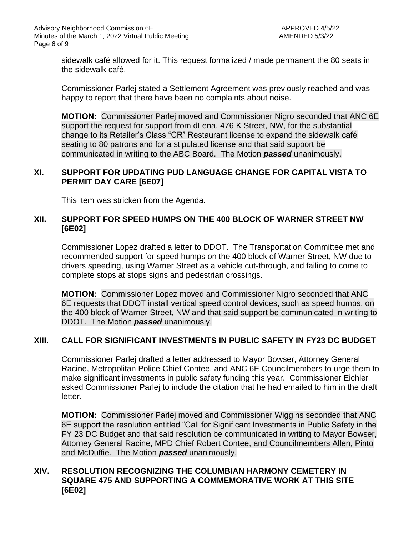sidewalk café allowed for it. This request formalized / made permanent the 80 seats in the sidewalk café.

Commissioner Parlej stated a Settlement Agreement was previously reached and was happy to report that there have been no complaints about noise.

**MOTION:** Commissioner Parlej moved and Commissioner Nigro seconded that ANC 6E support the request for support from dLena, 476 K Street, NW, for the substantial change to its Retailer's Class "CR" Restaurant license to expand the sidewalk café seating to 80 patrons and for a stipulated license and that said support be communicated in writing to the ABC Board. The Motion *passed* unanimously.

## **XI. SUPPORT FOR UPDATING PUD LANGUAGE CHANGE FOR CAPITAL VISTA TO PERMIT DAY CARE [6E07]**

This item was stricken from the Agenda.

## **XII. SUPPORT FOR SPEED HUMPS ON THE 400 BLOCK OF WARNER STREET NW [6E02]**

Commissioner Lopez drafted a letter to DDOT. The Transportation Committee met and recommended support for speed humps on the 400 block of Warner Street, NW due to drivers speeding, using Warner Street as a vehicle cut-through, and failing to come to complete stops at stops signs and pedestrian crossings.

**MOTION:** Commissioner Lopez moved and Commissioner Nigro seconded that ANC 6E requests that DDOT install vertical speed control devices, such as speed humps, on the 400 block of Warner Street, NW and that said support be communicated in writing to DDOT. The Motion *passed* unanimously.

#### **XIII. CALL FOR SIGNIFICANT INVESTMENTS IN PUBLIC SAFETY IN FY23 DC BUDGET**

Commissioner Parlej drafted a letter addressed to Mayor Bowser, Attorney General Racine, Metropolitan Police Chief Contee, and ANC 6E Councilmembers to urge them to make significant investments in public safety funding this year. Commissioner Eichler asked Commissioner Parlej to include the citation that he had emailed to him in the draft letter.

**MOTION:** Commissioner Parlej moved and Commissioner Wiggins seconded that ANC 6E support the resolution entitled "Call for Significant Investments in Public Safety in the FY 23 DC Budget and that said resolution be communicated in writing to Mayor Bowser, Attorney General Racine, MPD Chief Robert Contee, and Councilmembers Allen, Pinto and McDuffie. The Motion *passed* unanimously.

### **XIV. RESOLUTION RECOGNIZING THE COLUMBIAN HARMONY CEMETERY IN SQUARE 475 AND SUPPORTING A COMMEMORATIVE WORK AT THIS SITE [6E02]**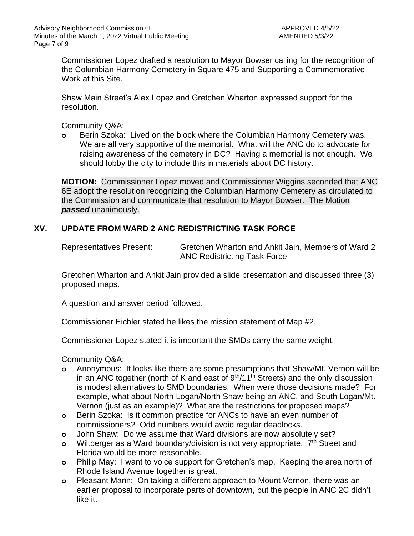Commissioner Lopez drafted a resolution to Mayor Bowser calling for the recognition of the Columbian Harmony Cemetery in Square 475 and Supporting a Commemorative Work at this Site.

Shaw Main Street's Alex Lopez and Gretchen Wharton expressed support for the resolution.

Community Q&A:

**o** Berin Szoka: Lived on the block where the Columbian Harmony Cemetery was. We are all very supportive of the memorial. What will the ANC do to advocate for raising awareness of the cemetery in DC? Having a memorial is not enough. We should lobby the city to include this in materials about DC history.

**MOTION:** Commissioner Lopez moved and Commissioner Wiggins seconded that ANC 6E adopt the resolution recognizing the Columbian Harmony Cemetery as circulated to the Commission and communicate that resolution to Mayor Bowser. The Motion *passed* unanimously.

## **XV. UPDATE FROM WARD 2 ANC REDISTRICTING TASK FORCE**

Representatives Present: Gretchen Wharton and Ankit Jain, Members of Ward 2 ANC Redistricting Task Force

Gretchen Wharton and Ankit Jain provided a slide presentation and discussed three (3) proposed maps.

A question and answer period followed.

Commissioner Eichler stated he likes the mission statement of Map #2.

Commissioner Lopez stated it is important the SMDs carry the same weight.

Community Q&A:

- **o** Anonymous: It looks like there are some presumptions that Shaw/Mt. Vernon will be in an ANC together (north of K and east of  $9<sup>th</sup>/11<sup>th</sup>$  Streets) and the only discussion is modest alternatives to SMD boundaries. When were those decisions made? For example, what about North Logan/North Shaw being an ANC, and South Logan/Mt. Vernon (just as an example)? What are the restrictions for proposed maps?
- **o** Berin Szoka: Is it common practice for ANCs to have an even number of commissioners? Odd numbers would avoid regular deadlocks.
- **o** John Shaw: Do we assume that Ward divisions are now absolutely set?
- **o** Wiltberger as a Ward boundary/division is not very appropriate. 7<sup>th</sup> Street and Florida would be more reasonable.
- **o** Philip May: I want to voice support for Gretchen's map. Keeping the area north of Rhode Island Avenue together is great.
- **o** Pleasant Mann: On taking a different approach to Mount Vernon, there was an earlier proposal to incorporate parts of downtown, but the people in ANC 2C didn't like it.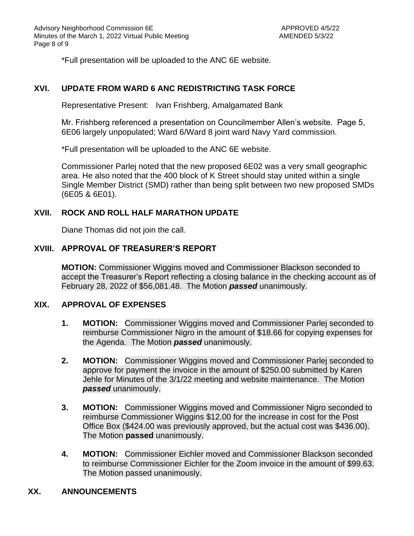\*Full presentation will be uploaded to the ANC 6E website.

## **XVI. UPDATE FROM WARD 6 ANC REDISTRICTING TASK FORCE**

Representative Present: Ivan Frishberg, Amalgamated Bank

Mr. Frishberg referenced a presentation on Councilmember Allen's website. Page 5, 6E06 largely unpopulated; Ward 6/Ward 8 joint ward Navy Yard commission.

\*Full presentation will be uploaded to the ANC 6E website.

Commissioner Parlej noted that the new proposed 6E02 was a very small geographic area. He also noted that the 400 block of K Street should stay united within a single Single Member District (SMD) rather than being split between two new proposed SMDs (6E05 & 6E01).

#### **XVII. ROCK AND ROLL HALF MARATHON UPDATE**

Diane Thomas did not join the call.

## **XVIII. APPROVAL OF TREASURER'S REPORT**

**MOTION:** Commissioner Wiggins moved and Commissioner Blackson seconded to accept the Treasurer's Report reflecting a closing balance in the checking account as of February 28, 2022 of \$56,081.48. The Motion *passed* unanimously.

#### **XIX. APPROVAL OF EXPENSES**

- **1. MOTION:** Commissioner Wiggins moved and Commissioner Parlej seconded to reimburse Commissioner Nigro in the amount of \$18.66 for copying expenses for the Agenda. The Motion *passed* unanimously.
- **2. MOTION:** Commissioner Wiggins moved and Commissioner Parlej seconded to approve for payment the invoice in the amount of \$250.00 submitted by Karen Jehle for Minutes of the 3/1/22 meeting and website maintenance. The Motion *passed* unanimously.
- **3. MOTION:** Commissioner Wiggins moved and Commissioner Nigro seconded to reimburse Commissioner Wiggins \$12.00 for the increase in cost for the Post Office Box (\$424.00 was previously approved, but the actual cost was \$436.00). The Motion **passed** unanimously.
- **4. MOTION:** Commissioner Eichler moved and Commissioner Blackson seconded to reimburse Commissioner Eichler for the Zoom invoice in the amount of \$99.63. The Motion passed unanimously.

#### **XX. ANNOUNCEMENTS**